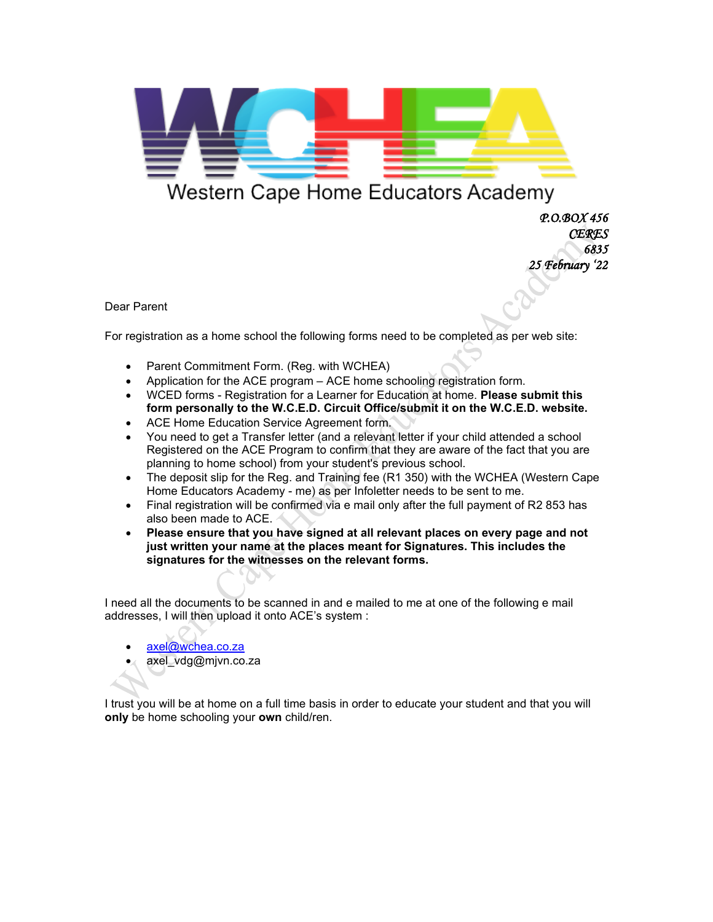

## Western Cape Home Educators Academy

 *P.O.BOX 456 CERES 6835 25 February '22* 

Dear Parent

For registration as a home school the following forms need to be completed as per web site:

- Parent Commitment Form. (Reg. with WCHEA)
- Application for the ACE program ACE home schooling registration form.
- WCED forms Registration for a Learner for Education at home. **Please submit this form personally to the W.C.E.D. Circuit Office/submit it on the W.C.E.D. website.**
- ACE Home Education Service Agreement form.
- You need to get a Transfer letter (and a relevant letter if your child attended a school Registered on the ACE Program to confirm that they are aware of the fact that you are planning to home school) from your student's previous school.
- The deposit slip for the Reg. and Training fee (R1 350) with the WCHEA (Western Cape Home Educators Academy - me) as per Infoletter needs to be sent to me.
- Final registration will be confirmed via e mail only after the full payment of R2 853 has also been made to ACE.
- **Please ensure that you have signed at all relevant places on every page and not just written your name at the places meant for Signatures. This includes the signatures for the witnesses on the relevant forms.**

I need all the documents to be scanned in and e mailed to me at one of the following e mail addresses, I will then upload it onto ACE's system :

- [axel@wchea.co.za](mailto:axel@wchea.co.za)
- axel\_vdg@mjvn.co.za

I trust you will be at home on a full time basis in order to educate your student and that you will **only** be home schooling your **own** child/ren.